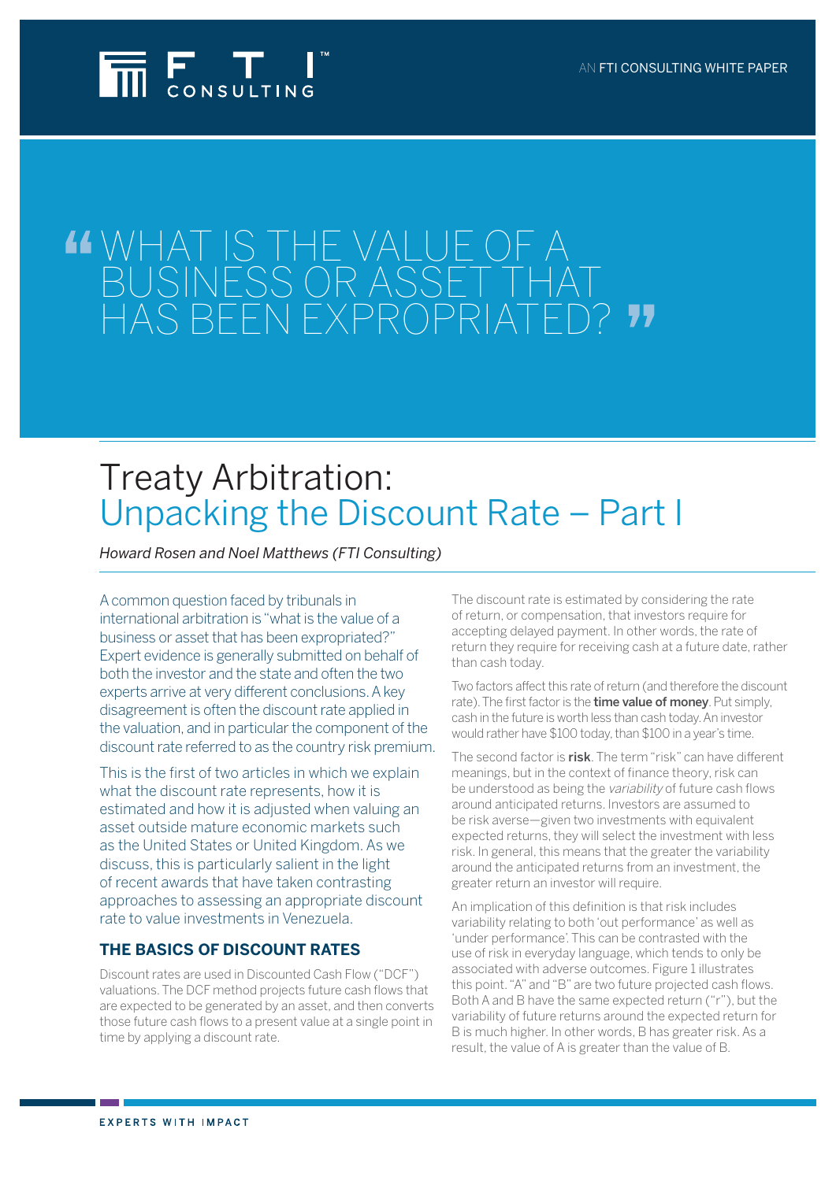

# WHAT IS THE VALUE OF business or asset that has been expropriated?

## Treaty Arbitration: Unpacking the Discount Rate – Part I

*Howard Rosen and Noel Matthews (FTI Consulting)*

A common question faced by tribunals in international arbitration is "what is the value of a business or asset that has been expropriated?" Expert evidence is generally submitted on behalf of both the investor and the state and often the two experts arrive at very different conclusions. A key disagreement is often the discount rate applied in the valuation, and in particular the component of the discount rate referred to as the country risk premium.

This is the first of two articles in which we explain what the discount rate represents, how it is estimated and how it is adjusted when valuing an asset outside mature economic markets such as the United States or United Kingdom. As we discuss, this is particularly salient in the light of recent awards that have taken contrasting approaches to assessing an appropriate discount rate to value investments in Venezuela.

## **THE BASICS OF DISCOUNT RATES**

Discount rates are used in Discounted Cash Flow ("DCF") valuations. The DCF method projects future cash flows that are expected to be generated by an asset, and then converts those future cash flows to a present value at a single point in time by applying a discount rate.

The discount rate is estimated by considering the rate of return, or compensation, that investors require for accepting delayed payment. In other words, the rate of return they require for receiving cash at a future date, rather than cash today.

Two factors affect this rate of return (and therefore the discount rate). The first factor is the **time value of money**. Put simply, cash in the future is worth less than cash today. An investor would rather have \$100 today, than \$100 in a year's time.

The second factor is **risk**. The term "risk" can have different meanings, but in the context of finance theory, risk can be understood as being the variability of future cash flows around anticipated returns. Investors are assumed to be risk averse—given two investments with equivalent expected returns, they will select the investment with less risk. In general, this means that the greater the variability around the anticipated returns from an investment, the greater return an investor will require.

An implication of this definition is that risk includes variability relating to both 'out performance' as well as 'under performance'. This can be contrasted with the use of risk in everyday language, which tends to only be associated with adverse outcomes. Figure 1 illustrates this point. "A" and "B" are two future projected cash flows. Both A and B have the same expected return ("r"), but the variability of future returns around the expected return for B is much higher. In other words, B has greater risk. As a result, the value of A is greater than the value of B.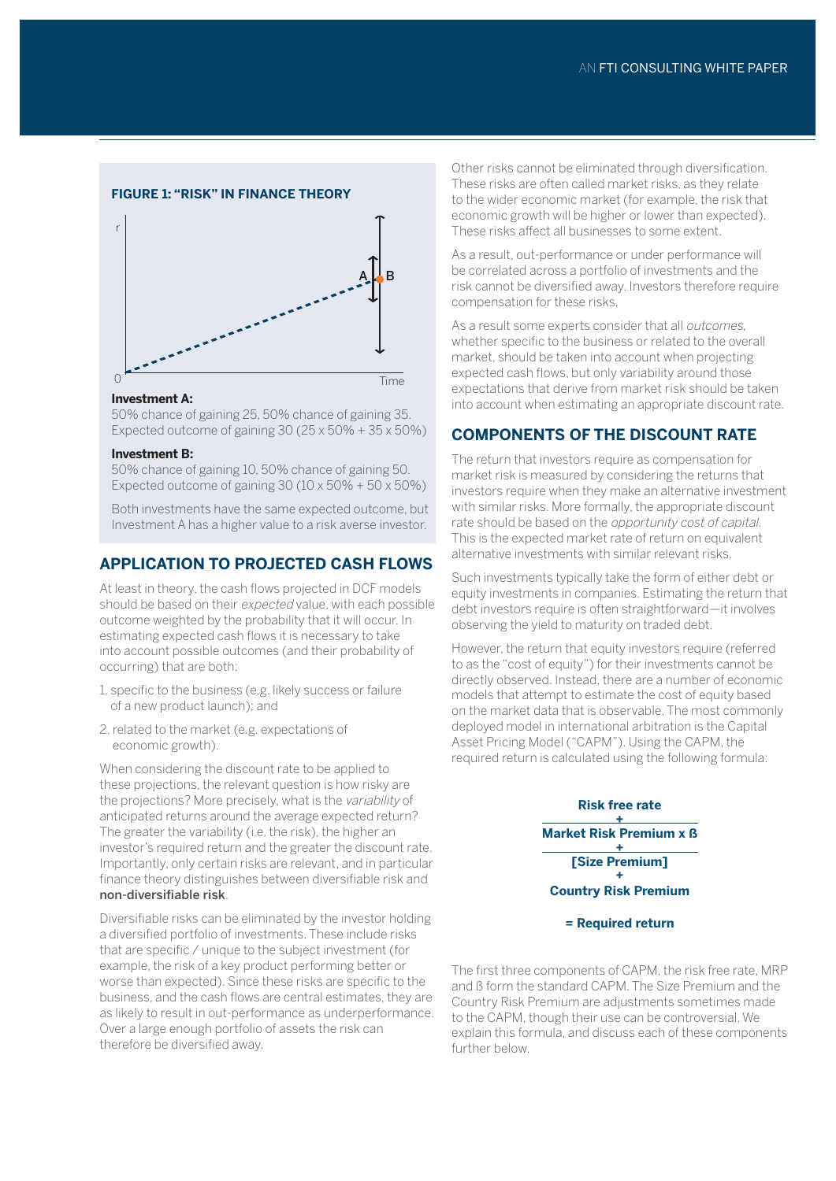#### **Figure 1: "Risk" in FInance theory**



#### **Investment A:**

50% chance of gaining 25, 50% chance of gaining 35. Expected outcome of gaining 30 (25 x 50% + 35 x 50%)

#### **Investment B:**

50% chance of gaining 10, 50% chance of gaining 50. Expected outcome of gaining  $30(10 \times 50\% + 50 \times 50\%)$ 

Both investments have the same expected outcome, but Investment A has a higher value to a risk averse investor.

## **APPLICATION TO PROJECTED CASH FLOWS**

At least in theory, the cash flows projected in DCF models should be based on their expected value, with each possible outcome weighted by the probability that it will occur. In estimating expected cash flows it is necessary to take into account possible outcomes (and their probability of occurring) that are both:

- 1. specific to the business (e.g. likely success or failure of a new product launch); and
- 2. related to the market (e.g. expectations of economic growth).

When considering the discount rate to be applied to these projections, the relevant question is how risky are the projections? More precisely, what is the variability of anticipated returns around the average expected return? The greater the variability (i.e. the risk), the higher an investor's required return and the greater the discount rate. Importantly, only certain risks are relevant, and in particular finance theory distinguishes between diversifiable risk and non-diversifiable risk.

Diversifiable risks can be eliminated by the investor holding a diversified portfolio of investments. These include risks that are specific / unique to the subject investment (for example, the risk of a key product performing better or worse than expected). Since these risks are specific to the business, and the cash flows are central estimates, they are as likely to result in out-performance as underperformance. Over a large enough portfolio of assets the risk can therefore be diversified away.

Other risks cannot be eliminated through diversification. These risks are often called market risks, as they relate to the wider economic market (for example, the risk that economic growth will be higher or lower than expected). These risks affect all businesses to some extent.

As a result, out-performance or under performance will be correlated across a portfolio of investments and the risk cannot be diversified away. Investors therefore require compensation for these risks.

As a result some experts consider that all outcomes, whether specific to the business or related to the overall market, should be taken into account when projecting expected cash flows, but only variability around those expectations that derive from market risk should be taken into account when estimating an appropriate discount rate.

## **COMPONENTS OF THE DISCOUNT RATE**

The return that investors require as compensation for market risk is measured by considering the returns that investors require when they make an alternative investment with similar risks. More formally, the appropriate discount rate should be based on the opportunity cost of capital. This is the expected market rate of return on equivalent alternative investments with similar relevant risks.

Such investments typically take the form of either debt or equity investments in companies. Estimating the return that debt investors require is often straightforward—it involves observing the yield to maturity on traded debt.

However, the return that equity investors require (referred to as the "cost of equity") for their investments cannot be directly observed. Instead, there are a number of economic models that attempt to estimate the cost of equity based on the market data that is observable. The most commonly deployed model in international arbitration is the Capital Asset Pricing Model ("CAPM"). Using the CAPM, the required return is calculated using the following formula:



**= Required return** 

The first three components of CAPM, the risk free rate, MRP and ß form the standard CAPM. The Size Premium and the Country Risk Premium are adjustments sometimes made to the CAPM, though their use can be controversial. We explain this formula, and discuss each of these components further below.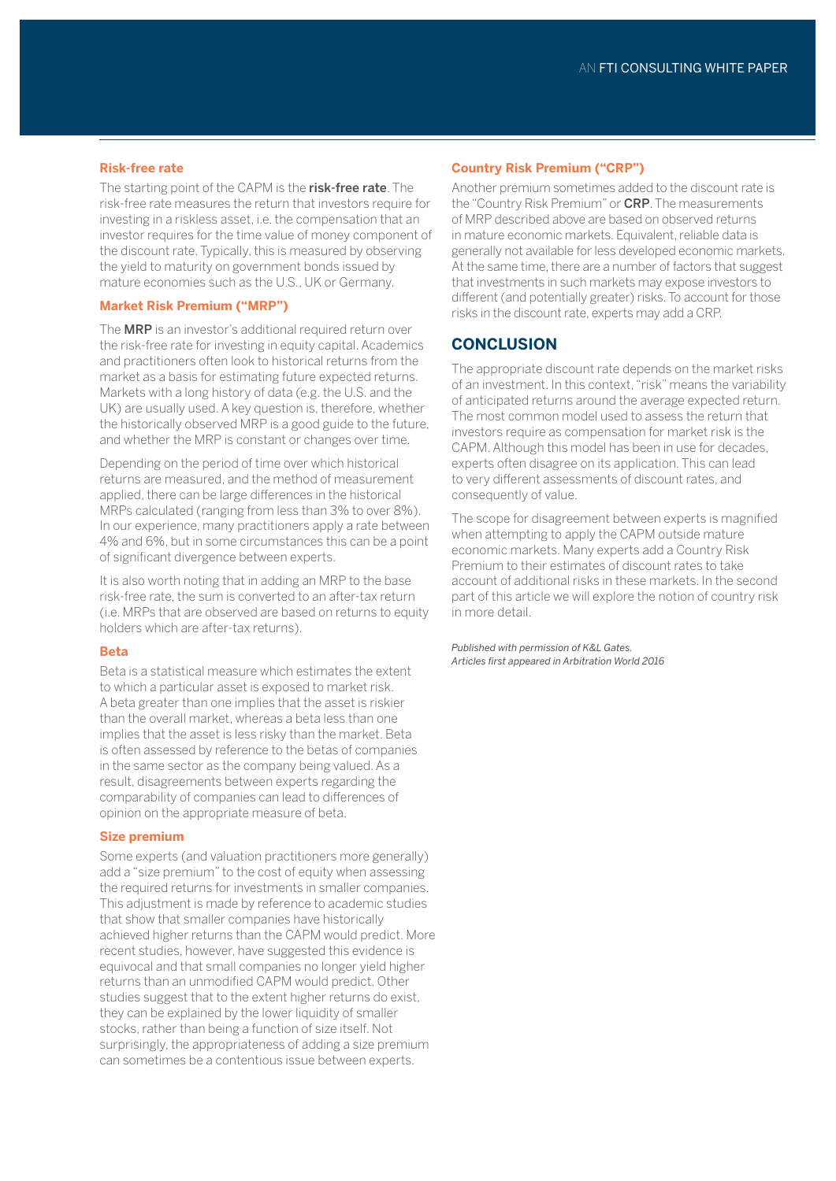#### **Risk-free rate**

The starting point of the CAPM is the risk-free rate. The risk-free rate measures the return that investors require for investing in a riskless asset, i.e. the compensation that an investor requires for the time value of money component of the discount rate. Typically, this is measured by observing the yield to maturity on government bonds issued by mature economies such as the U.S., UK or Germany.

#### **Market Risk Premium ("MRP")**

The **MRP** is an investor's additional required return over the risk-free rate for investing in equity capital. Academics and practitioners often look to historical returns from the market as a basis for estimating future expected returns. Markets with a long history of data (e.g. the U.S. and the UK) are usually used. A key question is, therefore, whether the historically observed MRP is a good guide to the future, and whether the MRP is constant or changes over time.

Depending on the period of time over which historical returns are measured, and the method of measurement applied, there can be large differences in the historical MRPs calculated (ranging from less than 3% to over 8%). In our experience, many practitioners apply a rate between 4% and 6%, but in some circumstances this can be a point of significant divergence between experts.

It is also worth noting that in adding an MRP to the base risk-free rate, the sum is converted to an after-tax return (i.e. MRPs that are observed are based on returns to equity holders which are after-tax returns).

#### **Beta**

Beta is a statistical measure which estimates the extent to which a particular asset is exposed to market risk. A beta greater than one implies that the asset is riskier than the overall market, whereas a beta less than one implies that the asset is less risky than the market. Beta is often assessed by reference to the betas of companies in the same sector as the company being valued. As a result, disagreements between experts regarding the comparability of companies can lead to differences of opinion on the appropriate measure of beta.

#### **Size premium**

Some experts (and valuation practitioners more generally) add a "size premium" to the cost of equity when assessing the required returns for investments in smaller companies. This adjustment is made by reference to academic studies that show that smaller companies have historically achieved higher returns than the CAPM would predict. More recent studies, however, have suggested this evidence is equivocal and that small companies no longer yield higher returns than an unmodified CAPM would predict. Other studies suggest that to the extent higher returns do exist, they can be explained by the lower liquidity of smaller stocks, rather than being a function of size itself. Not surprisingly, the appropriateness of adding a size premium can sometimes be a contentious issue between experts.

#### **Country Risk Premium ("CRP")**

Another premium sometimes added to the discount rate is the "Country Risk Premium" or CRP. The measurements of MRP described above are based on observed returns in mature economic markets. Equivalent, reliable data is generally not available for less developed economic markets. At the same time, there are a number of factors that suggest that investments in such markets may expose investors to different (and potentially greater) risks. To account for those risks in the discount rate, experts may add a CRP.

### **CONCLUSION**

The appropriate discount rate depends on the market risks of an investment. In this context, "risk" means the variability of anticipated returns around the average expected return. The most common model used to assess the return that investors require as compensation for market risk is the CAPM. Although this model has been in use for decades, experts often disagree on its application. This can lead to very different assessments of discount rates, and consequently of value.

The scope for disagreement between experts is magnified when attempting to apply the CAPM outside mature economic markets. Many experts add a Country Risk Premium to their estimates of discount rates to take account of additional risks in these markets. In the second part of this article we will explore the notion of country risk in more detail.

*Published with permission of K&L Gates. Articles first appeared in Arbitration World 2016*